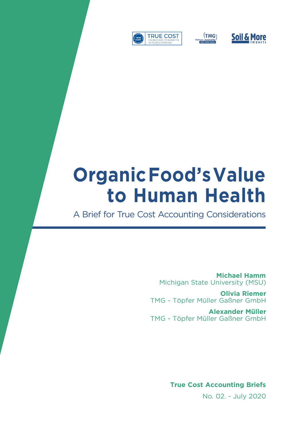





# **Organic Food's Value to Human Health**

A Brief for True Cost Accounting Considerations

**Michael Hamm** Michigan State University (MSU)

**Olivia Riemer** TMG - Töpfer Müller Gaßner GmbH

**Alexander Müller**  TMG - Töpfer Müller Gaßner GmbH

**True Cost Accounting Briefs** 

No. 02. - July 2020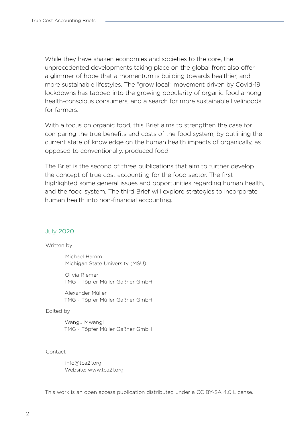While they have shaken economies and societies to the core, the unprecedented developments taking place on the global front also offer a glimmer of hope that a momentum is building towards healthier, and more sustainable lifestyles. The "grow local" movement driven by Covid-19 lockdowns has tapped into the growing popularity of organic food among health-conscious consumers, and a search for more sustainable livelihoods for farmers.

With a focus on organic food, this Brief aims to strengthen the case for comparing the true benefits and costs of the food system, by outlining the current state of knowledge on the human health impacts of organically, as opposed to conventionally, produced food.

The Brief is the second of three publications that aim to further develop the concept of true cost accounting for the food sector. The first highlighted some general issues and opportunities regarding human health, and the food system. The third Brief will explore strategies to incorporate human health into non-financial accounting.

#### July 2020

#### Written by

Michael Hamm Michigan State University (MSU)

Olivia Riemer TMG - Töpfer Müller Gaßner GmbH

Alexander Müller TMG - Töpfer Müller Gaßner GmbH

#### Edited by

Wangu Mwangi TMG - Töpfer Müller Gaßner GmbH

#### Contact

info@tca2f.org Website: [www.](https://tca2f.org/)tca2f.org

This work is an open access publication distributed under a CC BY-SA 4.0 License.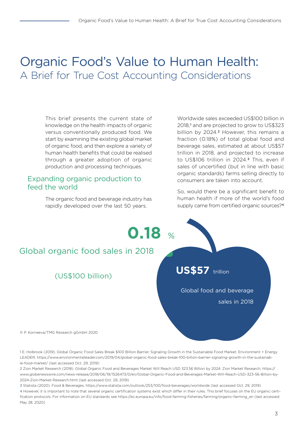# Organic Food's Value to Human Health: A Brief for True Cost Accounting Considerations

This brief presents the current state of knowledge on the health impacts of organic versus conventionally produced food. We start by examining the existing global market of organic food, and then explore a variety of human health benefits that could be realised through a greater adoption of organic production and processing techniques.

## Expanding organic production to feed the world

The organic food and beverage industry has rapidly developed over the last 50 years.

Worldwide sales exceeded US\$100 billion in 2018,<sup>1</sup> and are projected to grow to US\$323 billion by 2024.<sup>2</sup> However, this remains a fraction (0.18%) of total global food and beverage sales, estimated at about US\$57 trillion in 2018, and projected to increase to US\$106 trillion in 2024.3 This, even if sales of uncertified (but in line with basic organic standards) farms selling directly to consumers are taken into account.

So, would there be a significant benefit to human health if more of the world's food supply came from certified organic sources?<sup>4</sup>



1 E. Holbrook (2019). Global Organic Food Sales Break \$100 Billion Barrier, Signaling Growth in the Sustainable Food Market. Environment + Energy LEADER, [https://www.environmentalleader.com/2019/04/global-organic-food-sales-break-100-billion-barrier-signaling-growth-in-the-sustainab](https://www.environmentalleader.com/2019/04/global-organic-food-sales-break-100-billion-barrier-signaling-growth-in-the-sustainable-food-market/)[le-food-market/](https://www.environmentalleader.com/2019/04/global-organic-food-sales-break-100-billion-barrier-signaling-growth-in-the-sustainable-food-market/) (last accessed Oct. 29, 2019)

2 Zion Market Research (2018). Global Organic Food and Beverages Market Will Reach USD 323.56 Billion by 2024: Zion Market Research, [https://](https://www.globenewswire.com/news-release/2018/06/19/1526473/0/en/Global-Organic-Food-and-Beverages-Market-Will-Reach-USD-323-56-Billion-by-2024-Zion-Market-Research.html) [www.globenewswire.com/news-release/2018/06/19/1526473/0/en/Global-Organic-Food-and-Beverages-Market-Will-Reach-USD-323-56-Billion-by-](https://www.globenewswire.com/news-release/2018/06/19/1526473/0/en/Global-Organic-Food-and-Beverages-Market-Will-Reach-USD-323-56-Billion-by-2024-Zion-Market-Research.html)[2024-Zion-Market-Research.html](https://www.globenewswire.com/news-release/2018/06/19/1526473/0/en/Global-Organic-Food-and-Beverages-Market-Will-Reach-USD-323-56-Billion-by-2024-Zion-Market-Research.html) (last accessed Oct. 29, 2019)

3 Statista (2020). Food & Beverages, [https://www.statista.com/outlook/253/100/food-beverages/worldwide \(last accessed Oct. 29, 2019\)](https://www.statista.com/outlook/253/100/food-beverages/worldwide )

[4](https://www.statista.com/outlook/253/100/food-beverages/worldwide ) However, it is important to note that several organic certification systems exist which differ in their rules. This brief focuses on the EU organic certification protocols. For information on EU standards see https://ec.europa.eu/info/food-farming-fisheries/farming/organic-farming\_en (last accessed May 28, 2020)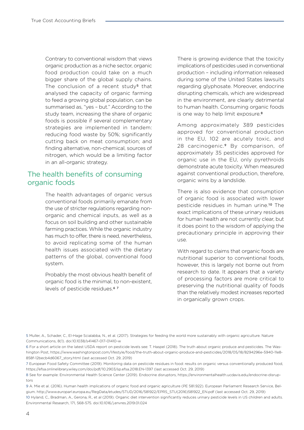Contrary to conventional wisdom that views organic production as a niche sector, organic food production could take on a much bigger share of the global supply chains. The conclusion of a recent study<sup>5</sup> that analysed the capacity of organic farming to feed a growing global population, can be summarised as, "yes – but." According to the study team, increasing the share of organic foods is possible if several complementary strategies are implemented in tandem: reducing food waste by 50%; significantly cutting back on meat consumption; and finding alternative, non-chemical, sources of nitrogen, which would be a limiting factor in an all-organic strategy.

## The health benefits of consuming organic foods

The health advantages of organic versus conventional foods primarily emanate from the use of stricter regulations regarding nonorganic and chemical inputs, as well as a focus on soil building and other sustainable farming practices. While the organic industry has much to offer, there is need, nevertheless, to avoid replicating some of the human health issues associated with the dietary patterns of the global, conventional food system.

Probably the most obvious health benefit of organic food is the minimal, to non-existent, levels of pesticide residues.<sup>67</sup>

There is growing evidence that the toxicity implications of pesticides used in conventional production – including information released during some of the United States lawsuits regarding glyphosate. Moreover, endocrine disrupting chemicals, which are widespread in the environment, are clearly detrimental to human health. Consuming organic foods is one way to help limit exposure.8

Among approximately 389 pesticides approved for conventional production in the EU, 102 are acutely toxic, and 28 carcinogenic.9 By comparison, of approximately 35 pesticides approved for organic use in the EU, only pyrethroids demonstrate acute toxicity. When measured against conventional production, therefore, organic wins by a landslide.

There is also evidence that consumption of organic food is associated with lower pesticide residues in human urine.10 The exact implications of these urinary residues for human health are not currently clear, but it does point to the wisdom of applying the precautionary principle in approving their use.

With regard to claims that organic foods are nutritional superior to conventional foods, however, this is largely not borne out from research to date. It appears that a variety of processing factors are more critical to preserving the nutritional quality of foods than the relatively modest increases reported in organically grown crops.

5 Muller, A., Schader, C., El-Hage Scialabba, N., et al. (2017). Strategies for feeding the world more sustainably with organic agriculture. Nature Communications, 8(1). doi:10.1038/s41467-017-01410-w

6 For a short article on the latest USDA report on pesticide levels see: T. Haspel (2018). The truth about organic produce and pesticides. The Washington Post, [https://www.washingtonpost.com/lifestyle/food/the-truth-about-organic-produce-and-pesticides/2018/05/18/8294296e-5940-11e8-](https://www.washingtonpost.com/lifestyle/food/the-truth-about-organic-produce-and-pesticides/2018/05/18/8294296e-5940-11e8-858f-12becb4d6067_story.html) [858f-12becb4d6067\\_story.html](https://www.washingtonpost.com/lifestyle/food/the-truth-about-organic-produce-and-pesticides/2018/05/18/8294296e-5940-11e8-858f-12becb4d6067_story.html) (last accessed Oct. 29, 2019)

7 European Food Safety Committee (2019). Monitoring data on pesticide residues in food: results on organic versus conventionally produced food, <https://efsa.onlinelibrary.wiley.com/doi/pdf/10.2903/sp.efsa.2018.EN-1397>(last accessed Oct. 29, 2019)

8 See for example: Environmental Health Science Center (2019). Endocrine disruptors, [https://environmentalhealth.ucdavis.edu/endocrine-disrup](https://environmentalhealth.ucdavis.edu/endocrine-disruptors)[tors](https://environmentalhealth.ucdavis.edu/endocrine-disruptors)

9 A. Mie et al. (2016). Human health implications of organic food and organic agriculture (PE 581.922). European Parliament Research Service, Belgium. [http://www.europarl.europa.eu/RegData/etudes/STUD/2016/581922/EPRS\\_STU\(2016\)581922\\_EN.pdf](http://www.europarl.europa.eu/RegData/etudes/STUD/2016/581922/EPRS_STU(2016)581922_EN.pdf) (last accessed Oct. 29, 2019)

10 Hyland, C., Bradman, A., Gerona, R., et al (2019). Organic diet intervention significantly reduces urinary pesticide levels in US children and adults. Environmental Research, 171, 568-575. doi:10.1016/j.envres.2019.01.024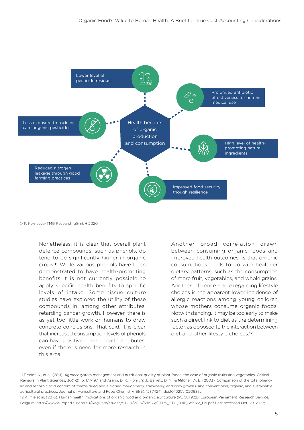

© P. Korneeva/TMG Research gGmbH 2020

Nonetheless, it is clear that overall plant defence compounds, such as phenols, do tend to be significantly higher in organic crops.11 While various phenols have been demonstrated to have health-promoting benefits it is not currently possible to apply specific health benefits to specific levels of intake. Some tissue culture studies have explored the utility of these compounds in, among other attributes, retarding cancer growth. However, there is as yet too little work on humans to draw concrete conclusions. That said, it is clear that increased consumption levels of phenols can have positive human health attributes, even if there is need for more research in this area.

Another broad correlation drawn between consuming organic foods and improved health outcomes, is that organic consumptions tends to go with healthier dietary patterns, such as the consumption of more fruit, vegetables, and whole grains. Another inference made regarding lifestyle choices is the apparent lower incidence of allergic reactions among young children whose mothers consume organic foods. Notwithstanding, it may be too early to make such a direct link to diet as the determining factor, as opposed to the interaction between diet and other lifestyle choices.<sup>12</sup>

11 Brandt, K., et al. (2011). Agroecosystem management and nutritional quality of plant foods: the case of organic fruits and vegetables. Critical Reviews in Plant Sciences, 30(1-2): p. 177-197. and Asami, D. K., Hong, Y. J., Barrett, D. M., & Mitchell, A. E. (2003). Comparison of the total phenolic and ascorbic acid content of freeze-dried and air-dried marionberry, strawberry, and corn grown using conventional, organic, and sustainable agricultural practices. Journal of Agriculture and Food Chemistry, 51(5), 1237-1241. doi:10.1021/Jf020635c

12 A. Mie et al. (2016). Human health implications of organic food and organic agriculture (PE 581.922). European Parliament Research Service, Belgium. http://www.europarl.europa.eu/RegData/etudes/STUD/2016/581922/EPRS\_STU(2016)581922\_EN.pdf (last accessed Oct. 29, 2019)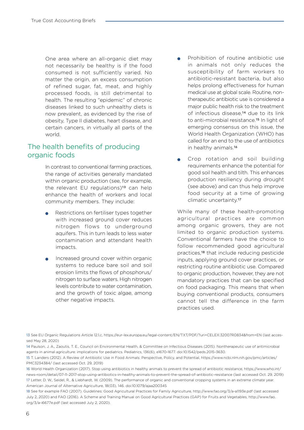One area where an all-organic diet may not necessarily be healthy is if the food consumed is not sufficiently varied. No matter the origin, an excess consumption of refined sugar, fat, meat, and highly processed foods, is still detrimental to health. The resulting "epidemic" of chronic diseases linked to such unhealthy diets is now prevalent, as evidenced by the rise of obesity, Type II diabetes, heart disease, and certain cancers, in virtually all parts of the world.

# The health benefits of producing organic foods

In contrast to conventional farming practices, the range of activities generally mandated within organic production (see, for example, the relevant EU regulations)<sup>13</sup> can help enhance the health of workers and local community members. They include:

- Restrictions on fertiliser types together with increased ground cover reduces nitrogen flows to underground aquifers. This in turn leads to less water contamination and attendant health impacts.
- Increased ground cover within organic systems to reduce bare soil and soil erosion limits the flows of phosphorus/ nitrogen to surface waters. High nitrogen levels contribute to water contamination, and the growth of toxic algae, among other negative impacts.
- Prohibition of routine antibiotic use in animals not only reduces the susceptibility of farm workers to antibiotic-resistant bacteria, but also helps prolong effectiveness for human medical use at global scale. Routine, nontherapeutic antibiotic use is considered a major public health risk to the treatment of infectious disease,14 due to its link to anti-microbial resistance.15 In light of emerging consensus on this issue, the World Health Organization (WHO) has called for an end to the use of antibiotics in healthy animals.16
- Crop rotation and soil building requirements enhance the potential for good soil health and tilth. This enhances production resiliency during drought (see above) and can thus help improve food security at a time of growing climatic uncertainty.17

While many of these health-promoting agricultural practices are common among organic growers, they are not limited to organic production systems. Conventional farmers have the choice to follow recommended good agricultural practices,18 that include reducing pesticide inputs, applying ground cover practices, or restricting routine antibiotic use. Compared to organic production, however, they are not mandatory practices that can be specified on food packaging. This means that when buying conventional products, consumers cannot tell the difference in the farm practices used.

13 See EU Organic Regulations Article 12.1.c, https://eur-lex.europa.eu/legal-content/EN/TXT/PDF/?uri=CELEX:32007R0834&from=EN (last accessed May 28, 2020)

18 See for example FAO (2007). Guidelines: Good Agricultural Practices for Family Agriculture, http://www.fao.org/3/a-a1193e.pdf (last accessed July 2, 2020) and FAO (2016). A Scheme and Training Manual on Good Agricultural Practices (GAP) for Fruits and Vegetables, http://www.fao. org/3/a-i6677e.pdf (last accessed July 2, 2020).

<sup>14</sup> Paulson, J. A., Zaoutis, T. E., Council on Environmental Health, & Committee on Infectious Diseases (2015). Nontherapeutic use of antimicrobial agents in animal agriculture: implications for pediatrics. Pediatrics, 136(6), e1670-1677. doi:10.1542/peds.2015-3630.

<sup>15</sup> T. Landers (2012). A Review of Antibiotic Use in Food Animals: Perspective, Policy, and Potential, https://www.ncbi.nlm.nih.gov/pmc/articles/ PMC3234384/ (last accessed Oct. 29, 2019)

<sup>16</sup> World Health Organization (2017). Stop using antibiotics in healthy animals to prevent the spread of antibiotic resistance, https://www.who.int/ news-room/detail/07-11-2017-stop-using-antibiotics-in-healthy-animals-to-prevent-the-spread-of-antibiotic-resistance (last accessed Oct. 29, 2019) 17 Letter, D. W., Seidel, R., & Liebhardt, W. (2009). The performance of organic and conventional cropping systems in an extreme climate year. American Journal of Alternative Agriculture, 18(03), 146. doi:10.1079/ajaa200345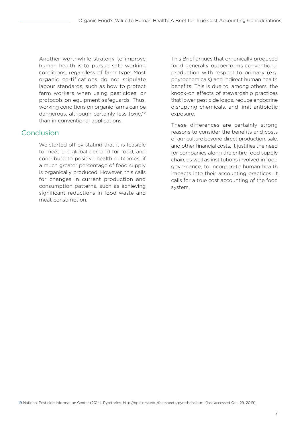Another worthwhile strategy to improve human health is to pursue safe working conditions, regardless of farm type. Most organic certifications do not stipulate labour standards, such as how to protect farm workers when using pesticides, or protocols on equipment safeguards. Thus, working conditions on organic farms can be dangerous, although certainly less toxic,19 than in conventional applications.

## **Conclusion**

We started off by stating that it is feasible to meet the global demand for food, and contribute to positive health outcomes, if a much greater percentage of food supply is organically produced. However, this calls for changes in current production and consumption patterns, such as achieving significant reductions in food waste and meat consumption.

This Brief argues that organically produced food generally outperforms conventional production with respect to primary (e.g. phytochemicals) and indirect human health benefits. This is due to, among others, the knock-on effects of stewardship practices that lower pesticide loads, reduce endocrine disrupting chemicals, and limit antibiotic exposure.

These differences are certainly strong reasons to consider the benefits and costs of agriculture beyond direct production, sale, and other financial costs. It justifies the need for companies along the entire food supply chain, as well as institutions involved in food governance, to incorporate human health impacts into their accounting practices. It calls for a true cost accounting of the food system.